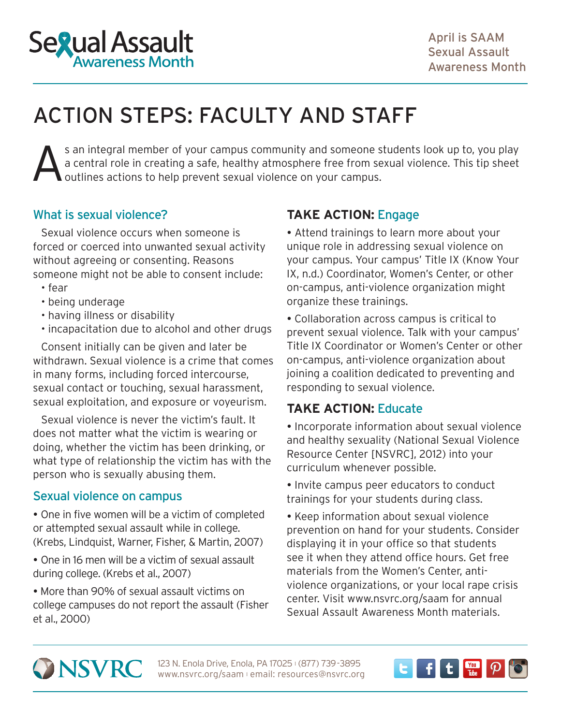

# ACTION STEPS: FACULTY AND STAFF

S an integral member of your campus community and someone students look up to, you play<br>a central role in creating a safe, healthy atmosphere free from sexual violence. This tip sheet<br>outlines actions to help prevent sexua a central role in creating a safe, healthy atmosphere free from sexual violence. This tip sheet outlines actions to help prevent sexual violence on your campus.

# What is sexual violence?

Sexual violence occurs when someone is forced or coerced into unwanted sexual activity without agreeing or consenting. Reasons someone might not be able to consent include:

- fear
- being underage
- having illness or disability
- incapacitation due to alcohol and other drugs

Consent initially can be given and later be withdrawn. Sexual violence is a crime that comes in many forms, including forced intercourse, sexual contact or touching, sexual harassment, sexual exploitation, and exposure or voyeurism.

Sexual violence is never the victim's fault. It does not matter what the victim is wearing or doing, whether the victim has been drinking, or what type of relationship the victim has with the person who is sexually abusing them.

## Sexual violence on campus

 One in five women will be a victim of completed or attempted sexual assault while in college. (Krebs, Lindquist, Warner, Fisher, & Martin, 2007)

 One in 16 men will be a victim of sexual assault during college. (Krebs et al., 2007)

 More than 90% of sexual assault victims on college campuses do not report the assault (Fisher et al., 2000)

# **TAKE ACTION:** Engage

 Attend trainings to learn more about your unique role in addressing sexual violence on your campus. Your campus' [Title IX](http://www.knowyourix.org) (Know Your IX, n.d.) Coordinator, Women's Center, or other on-campus, anti-violence organization might organize these trainings.

 Collaboration across campus is critical to prevent sexual violence. Talk with your campus' Title IX Coordinator or Women's Center or other on-campus, anti-violence organization about joining a coalition dedicated to preventing and responding to sexual violence.

# **TAKE ACTION:** Educate

• Incorporate information about sexual violence and [healthy sexuality](http://www.nsvrc.org/sites/default/files/SAAM_2012_An-overview-on-healthy-sexuality-and-sexual-violence.pdf) (National Sexual Violence Resource Center [NSVRC], 2012) into your curriculum whenever possible.

• Invite campus peer educators to conduct trainings for your students during class.

• Keep information about sexual violence prevention on hand for your students. Consider displaying it in your office so that students see it when they attend office hours. Get free materials from the Women's Center, antiviolence organizations, or your local rape crisis center. Visit [www.nsvrc.org/saam](http://www.nsvrc.org/saam) for annual Sexual Assault Awareness Month materials.

**ONSVRC** 

123 N. Enola Drive, Enola, PA 17025 | (877) 739-3895 www.nsvrc.org/saam l email: resources@nsvrc.org